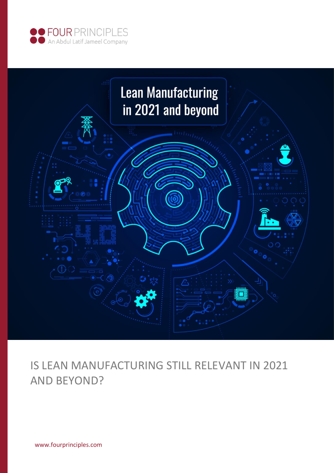



# IS LEAN MANUFACTURING STILL RELEVANT IN 2021 AND BEYOND?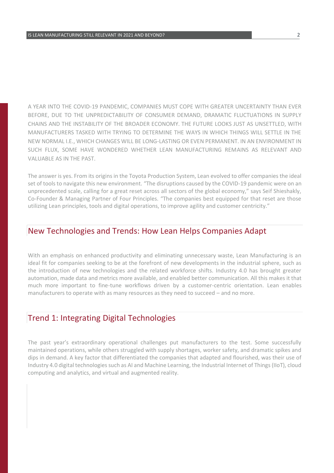A YEAR INTO THE COVID-19 PANDEMIC, COMPANIES MUST COPE WITH GREATER UNCERTAINTY THAN EVER BEFORE, DUE TO THE UNPREDICTABILITY OF CONSUMER DEMAND, DRAMATIC FLUCTUATIONS IN SUPPLY CHAINS AND THE INSTABILITY OF THE BROADER ECONOMY. THE FUTURE LOOKS JUST AS UNSETTLED, WITH MANUFACTURERS TASKED WITH TRYING TO DETERMINE THE WAYS IN WHICH THINGS WILL SETTLE IN THE NEW NORMAL I.E., WHICH CHANGES WILL BE LONG-LASTING OR EVEN PERMANENT. IN AN ENVIRONMENT IN SUCH FLUX, SOME HAVE WONDERED WHETHER LEAN MANUFACTURING REMAINS AS RELEVANT AND VALUABLE AS IN THE PAST.

The answer is yes. From its origins in the Toyota Production System, Lean evolved to offer companies the ideal set of tools to navigate this new environment. "The disruptions caused by the COVID-19 pandemic were on an unprecedented scale, calling for a great reset across all sectors of the global economy," says Seif Shieshakly, Co-Founder & Managing Partner of Four Principles. "The companies best equipped for that reset are those utilizing Lean principles, tools and digital operations, to improve agility and customer centricity."

#### New Technologies and Trends: How Lean Helps Companies Adapt

With an emphasis on enhanced productivity and eliminating unnecessary waste, Lean Manufacturing is an ideal fit for companies seeking to be at the forefront of new developments in the industrial sphere, such as the introduction of new technologies and the related workforce shifts. Industry 4.0 has brought greater automation, made data and metrics more available, and enabled better communication. All this makes it that much more important to fine-tune workflows driven by a customer-centric orientation. Lean enables manufacturers to operate with as many resources as they need to succeed – and no more.

# Trend 1: Integrating Digital Technologies

The past year's extraordinary operational challenges put manufacturers to the test. Some successfully maintained operations, while others struggled with supply shortages, worker safety, and dramatic spikes and dips in demand. A key factor that differentiated the companies that adapted and flourished, was their use of Industry 4.0 digital technologies such as AI and Machine Learning, the Industrial Internet of Things (IIoT), cloud computing and analytics, and virtual and augmented reality.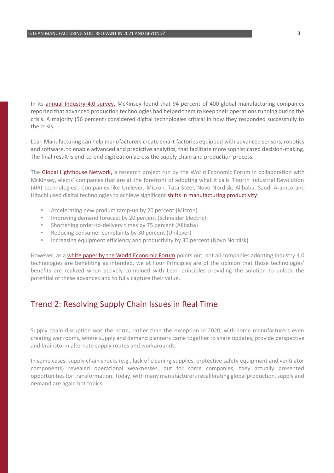In its [annual Industry 4.0 survey,](https://www.mckinsey.com/business-functions/operations/our-insights/covid-19-an-inflection-point-for-industry-40) McKinsey found that 94 percent of 400 global manufacturing companies reported that advanced production technologies had helped them to keep their operations running during the crisis. A majority (56 percent) considered digital technologies critical in how they responded successfully to the crisis.

Lean Manufacturing can help manufacturers create smart factories equipped with advanced sensors, robotics and software, to enable advanced and predictive analytics, that facilitate more sophisticated decision-making. The final result is end-to-end digitization across the supply chain and production process.

The [Global Lighthouse Network](https://www.mckinsey.com/business-functions/operations/our-insights/industrys-fast-mover-advantage-enterprise-value-from-digital-factories), a research project run by the World Economic Forum in collaboration with McKinsey, elects' companies that are at the forefront of adopting what it calls 'Fourth Industrial Revolution (4IR) technologies'. Companies like Unilever, Micron, Tata Steel, Novo Nordisk, Alibaba, Saudi Aramco and Hitachi used digital technologies to achieve significant [shifts in manufacturing productivity:](http://www3.weforum.org/docs/WEF_GLN_2020_Four_Durable_Shifts_In_Manufacturing.pdf)

- Accelerating new product ramp-up by 20 percent (Micron)
- Improving demand forecast by 20 percent (Schneider Electric)
- Shortening order-to-delivery times by 75 percent (Alibaba)
- Reducing consumer complaints by 30 percent (Unilever)
- Increasing equipment efficiency and productivity by 30 percent (Novo Nordisk)

However, as a [white paper by the World Economic Forum](http://www3.weforum.org/docs/WEF_White_Paper_Technology_Innovation_Future_of_Production_2017.pdf) points out, not all companies adopting Industry 4.0 technologies are benefiting as intended, we at Four Principles are of the opinion that those technologies' benefits are realized when actively combined with Lean principles providing the solution to unlock the potential of these advances and to fully capture their value.

## Trend 2: Resolving Supply Chain Issues in Real Time

Supply chain disruption was the norm, rather than the exception in 2020, with some manufacturers even creating war rooms, where supply and demand planners came together to share updates, provide perspective and brainstorm alternate supply routes and workarounds.

In some cases, supply chain shocks (e.g., lack of cleaning supplies, protective safety equipment and ventilator components) revealed operational weaknesses, but for some companies, they actually presented opportunities for transformation. Today, with many manufacturers recalibrating global production, supply and demand are again hot topics.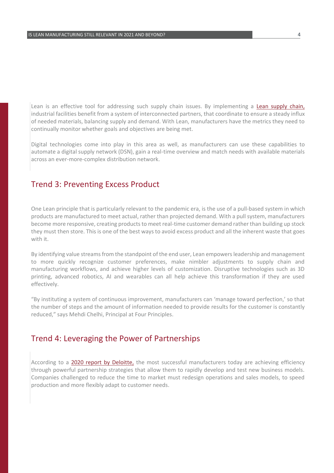Lean is an effective tool for addressing such supply chain issues. By implementing a [Lean supply chain,](https://cerasis.com/lean-supply-chain/) industrial facilities benefit from a system of interconnected partners, that coordinate to ensure a steady influx of needed materials, balancing supply and demand. With Lean, manufacturers have the metrics they need to continually monitor whether goals and objectives are being met.

Digital technologies come into play in this area as well, as manufacturers can use these capabilities to automate a digital supply network (DSN), gain a real-time overview and match needs with available materials across an ever-more-complex distribution network.

#### Trend 3: Preventing Excess Product

One Lean principle that is particularly relevant to the pandemic era, is the use of a pull-based system in which products are manufactured to meet actual, rather than projected demand. With a pull system, manufacturers become more responsive, creating products to meet real-time customer demand rather than building up stock they must then store. This is one of the best ways to avoid excess product and all the inherent waste that goes with it.

By identifying value streams from the standpoint of the end user, Lean empowers leadership and management to more quickly recognize customer preferences, make nimbler adjustments to supply chain and manufacturing workflows, and achieve higher levels of customization. Disruptive technologies such as 3D printing, advanced robotics, AI and wearables can all help achieve this transformation if they are used effectively.

"By instituting a system of continuous improvement, manufacturers can 'manage toward perfection,' so that the number of steps and the amount of information needed to provide results for the customer is constantly reduced," says Mehdi Chelhi, Principal at Four Principles.

### Trend 4: Leveraging the Power of Partnerships

According to a [2020 report by Deloitte,](https://www2.deloitte.com/us/en/insights/focus/industry-4-0/partner-ecosystem-customer-experience-outcomes.html) the most successful manufacturers today are achieving efficiency through powerful partnership strategies that allow them to rapidly develop and test new business models. Companies challenged to reduce the time to market must redesign operations and sales models, to speed production and more flexibly adapt to customer needs.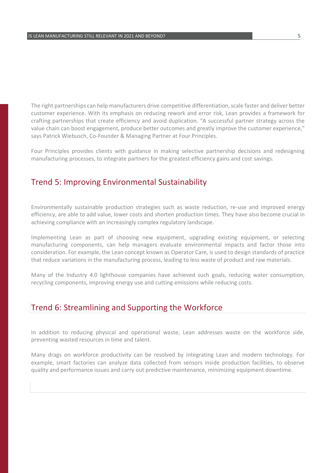The right partnerships can help manufacturers drive competitive differentiation, scale faster and deliver better customer experience. With its emphasis on reducing rework and error risk, Lean provides a framework for crafting partnerships that create efficiency and avoid duplication. "A successful partner strategy across the value chain can boost engagement, produce better outcomes and greatly improve the customer experience," says Patrick Wiebusch, Co-Founder & Managing Partner at Four Principles.

Four Principles provides clients with guidance in making selective partnership decisions and redesigning manufacturing processes, to integrate partners for the greatest efficiency gains and cost savings.

#### Trend 5: Improving Environmental Sustainability

Environmentally sustainable production strategies such as waste reduction, re-use and improved energy efficiency, are able to add value, lower costs and shorten production times. They have also become crucial in achieving compliance with an increasingly complex regulatory landscape.

Implementing Lean as part of choosing new equipment, upgrading existing equipment, or selecting manufacturing components, can help managers evaluate environmental impacts and factor those into consideration. For example, the Lean concept known as Operator Care, is used to design standards of practice that reduce variations in the manufacturing process, leading to less waste of product and raw materials.

Many of the Industry 4.0 lighthouse companies have achieved such goals, reducing water consumption, recycling components, improving energy use and cutting emissions while reducing costs.

#### Trend 6: Streamlining and Supporting the Workforce

In addition to reducing physical and operational waste, Lean addresses waste on the workforce side, preventing wasted resources in time and talent.

Many drags on workforce productivity can be resolved by integrating Lean and modern technology. For example, smart factories can analyze data collected from sensors inside production facilities, to observe quality and performance issues and carry out predictive maintenance, minimizing equipment downtime.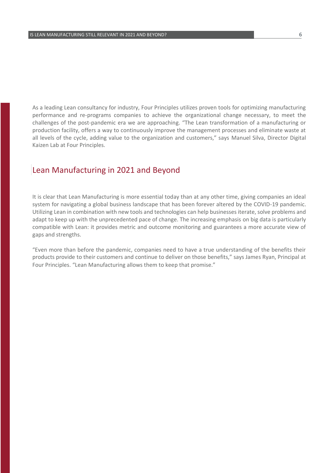As a leading Lean consultancy for industry, Four Principles utilizes proven tools for optimizing manufacturing performance and re-programs companies to achieve the organizational change necessary, to meet the challenges of the post-pandemic era we are approaching. "The Lean transformation of a manufacturing or production facility, offers a way to continuously improve the management processes and eliminate waste at all levels of the cycle, adding value to the organization and customers," says Manuel Silva, Director Digital Kaizen Lab at Four Principles.

#### Lean Manufacturing in 2021 and Beyond

It is clear that Lean Manufacturing is more essential today than at any other time, giving companies an ideal system for navigating a global business landscape that has been forever altered by the COVID-19 pandemic. Utilizing Lean in combination with new tools and technologies can help businesses iterate, solve problems and adapt to keep up with the unprecedented pace of change. The increasing emphasis on big data is particularly compatible with Lean: it provides metric and outcome monitoring and guarantees a more accurate view of gaps and strengths.

"Even more than before the pandemic, companies need to have a true understanding of the benefits their products provide to their customers and continue to deliver on those benefits," says James Ryan, Principal at Four Principles. "Lean Manufacturing allows them to keep that promise."